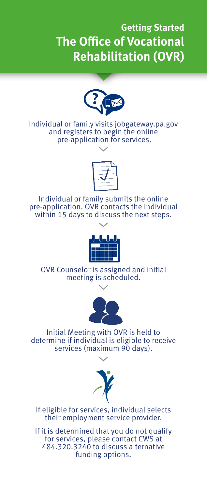## **Getting Started The Office of Vocational Rehabilitation (OVR)**



Individual or family visits jobgateway.pa.gov and registers to begin the online pre-application for services.



Individual or family submits the online pre-application. OVR contacts the individual within 15 days to discuss the next steps.



OVR Counselor is assigned and initial meeting is scheduled.



Initial Meeting with OVR is held to determine if individual is eligible to receive services (maximum 90 days).



If eligible for services, individual selects their employment service provider.

If it is determined that you do not qualify for services, please contact CWS at 484.320.3240 to discuss alternative funding options.